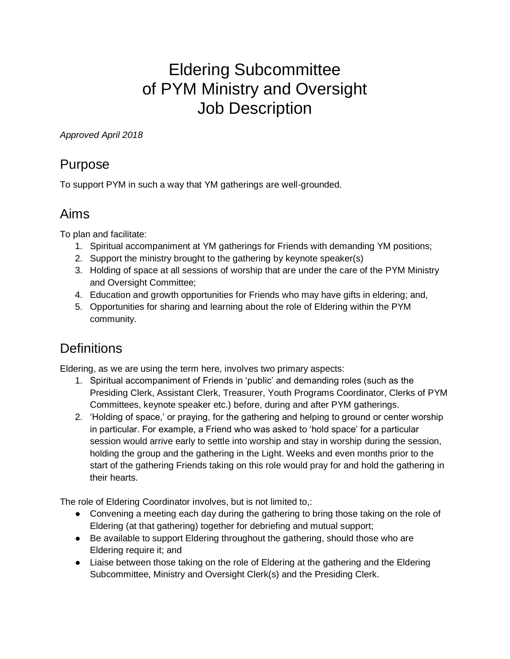# Eldering Subcommittee of PYM Ministry and Oversight Job Description

#### *Approved April 2018*

#### Purpose

To support PYM in such a way that YM gatherings are well-grounded.

#### Aims

To plan and facilitate:

- 1. Spiritual accompaniment at YM gatherings for Friends with demanding YM positions;
- 2. Support the ministry brought to the gathering by keynote speaker(s)
- 3. Holding of space at all sessions of worship that are under the care of the PYM Ministry and Oversight Committee;
- 4. Education and growth opportunities for Friends who may have gifts in eldering; and,
- 5. Opportunities for sharing and learning about the role of Eldering within the PYM community.

# **Definitions**

Eldering, as we are using the term here, involves two primary aspects:

- 1. Spiritual accompaniment of Friends in 'public' and demanding roles (such as the Presiding Clerk, Assistant Clerk, Treasurer, Youth Programs Coordinator, Clerks of PYM Committees, keynote speaker etc.) before, during and after PYM gatherings.
- 2. 'Holding of space,' or praying, for the gathering and helping to ground or center worship in particular. For example, a Friend who was asked to 'hold space' for a particular session would arrive early to settle into worship and stay in worship during the session, holding the group and the gathering in the Light. Weeks and even months prior to the start of the gathering Friends taking on this role would pray for and hold the gathering in their hearts.

The role of Eldering Coordinator involves, but is not limited to,:

- Convening a meeting each day during the gathering to bring those taking on the role of Eldering (at that gathering) together for debriefing and mutual support;
- Be available to support Eldering throughout the gathering, should those who are Eldering require it; and
- Liaise between those taking on the role of Eldering at the gathering and the Eldering Subcommittee, Ministry and Oversight Clerk(s) and the Presiding Clerk.